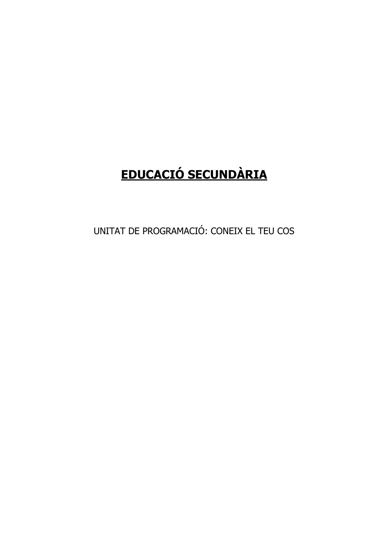# **EDUCACIÓ SECUNDÀRIA**

UNITAT DE PROGRAMACIÓ: CONEIX EL TEU COS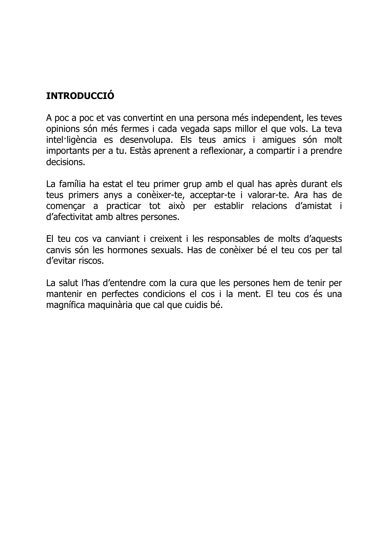## **INTRODUCCIÓ**

A poc a poc et vas convertint en una persona més independent, les teves opinions són més fermes i cada vegada saps millor el que vols. La teva intel·ligència es desenvolupa. Els teus amics i amigues són molt importants per a tu. Estàs aprenent a reflexionar, a compartir i a prendre decisions.

La família ha estat el teu primer grup amb el qual has après durant els teus primers anys a conèixer-te, acceptar-te i valorar-te. Ara has de començar a practicar tot això per establir relacions d'amistat i d'afectivitat amb altres persones.

El teu cos va canviant i creixent i les responsables de molts d'aquests canvis són les hormones sexuals. Has de conèixer bé el teu cos per tal d'evitar riscos.

La salut l'has d'entendre com la cura que les persones hem de tenir per mantenir en perfectes condicions el cos i la ment. El teu cos és una magnífica maguinària que cal que cuidis bé.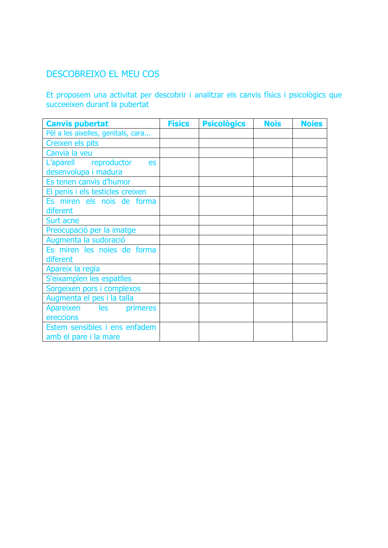## DESCOBREIXO EL MEU COS

Et proposem una activitat per descobrir i analitzar els canvis físics i psicològics que succeeixen durant la pubertat

| <b>Canvis pubertat</b>             | <b>Físics</b> | <b>Psicològics</b> | <b>Nois</b> | <b>Noies</b> |
|------------------------------------|---------------|--------------------|-------------|--------------|
| Pèl a les aixelles, genitals, cara |               |                    |             |              |
| Creixen els pits                   |               |                    |             |              |
| Canvia la veu                      |               |                    |             |              |
| L'aparell reproductor<br>es        |               |                    |             |              |
| desenvolupa i madura               |               |                    |             |              |
| Es tenen canvis d'humor            |               |                    |             |              |
| El penis i els testicles creixen   |               |                    |             |              |
| Es miren els nois de forma         |               |                    |             |              |
| diferent                           |               |                    |             |              |
| Surt acne                          |               |                    |             |              |
| Preocupació per la imatge          |               |                    |             |              |
| Augmenta la sudoració              |               |                    |             |              |
| Es miren les noies de forma        |               |                    |             |              |
| diferent                           |               |                    |             |              |
| Apareix la regla                   |               |                    |             |              |
| S'eixamplen les espatlles          |               |                    |             |              |
| Sorgeixen pors i complexos         |               |                    |             |              |
| Augmenta el pes i la talla         |               |                    |             |              |
| Apareixen les<br>primeres          |               |                    |             |              |
| ereccions                          |               |                    |             |              |
| Estem sensibles i ens enfadem      |               |                    |             |              |
| amb el pare i la mare              |               |                    |             |              |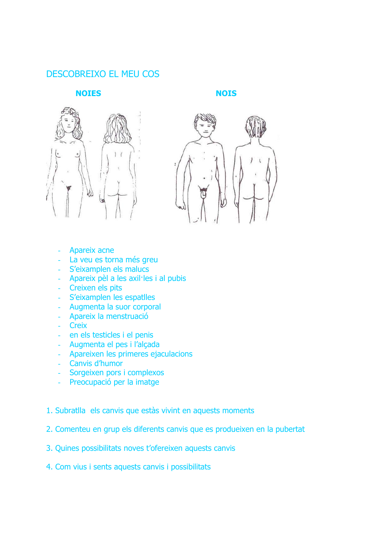#### **DESCOBREIXO EL MEU COS**

#### **NOIES**

**NOIS** 





- Apareix acne
- La veu es torna més greu
- S'eixamplen els malucs
- Apareix pèl a les axil·les i al pubis
- Creixen els pits
- S'eixamplen les espatlles
- Augmenta la suor corporal
- Apareix la menstruació
- Creix
- en els testicles i el penis
- Augmenta el pes i l'alçada
- Apareixen les primeres ejaculacions
- Canvis d'humor
- Sorgeixen pors i complexos
- Preocupació per la imatge
- 1. Subratlla els canvis que estàs vivint en aquests moments
- 2. Comenteu en grup els diferents canvis que es produeixen en la pubertat
- 3. Quines possibilitats noves t'ofereixen aquests canvis
- 4. Com vius i sents aquests canvis i possibilitats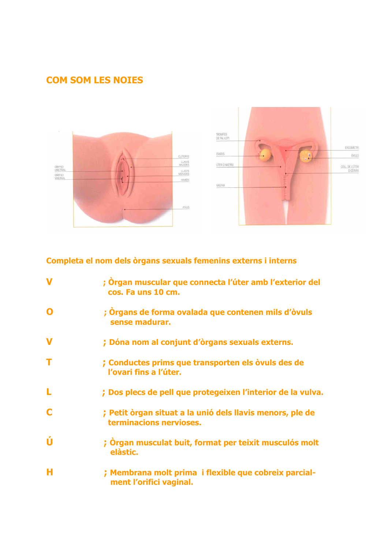## **COM SOM LES NOIES**





#### Completa el nom dels òrgans sexuals femenins externs i interns

| $\mathbf v$ | ; Òrgan muscular que connecta l'úter amb l'exterior del<br>cos. Fa uns 10 cm.        |
|-------------|--------------------------------------------------------------------------------------|
|             | ; Òrgans de forma ovalada que contenen mils d'òvuls<br>sense madurar.                |
|             | ; Dóna nom al conjunt d'òrgans sexuals externs.                                      |
|             | ; Conductes prims que transporten els òvuls des de<br>l'ovari fins a l'úter.         |
|             | ; Dos plecs de pell que protegeixen l'interior de la vulva.                          |
|             | ; Petit òrgan situat a la unió dels llavis menors, ple de<br>terminacions nervioses. |
|             | ; Organ musculat buit, format per teixit musculós molt<br>elàstic.                   |
| н           | ; Membrana molt prima i flexible que cobreix parcial-<br>ment l'orifici vaginal.     |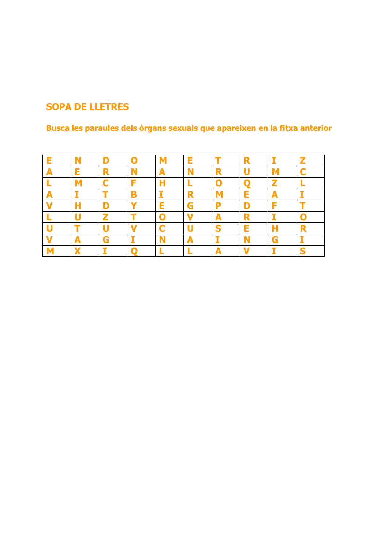## **SOPA DE LLETRES**

Busca les paraules dels òrgans sexuals que apareixen en la fitxa anterior

| Е | N | D            | O | M | E          |             | R |   | $\mathbf{z}$ |
|---|---|--------------|---|---|------------|-------------|---|---|--------------|
| A | E | R            | N | A |            | R           | U | M |              |
|   | M | C            | F | Н |            | $\mathbf 0$ |   | Z |              |
| A |   |              | B |   | R          | М           | E | A | 57           |
|   | н | D            |   | E | G          | P           | D | F |              |
|   |   | $\mathbf{z}$ |   | O |            | A           | R |   |              |
|   |   | U            |   | C |            | S           | E | Н | R            |
|   | A | G            |   |   | $\sqrt{2}$ |             | N | G |              |
|   | ↗ |              |   |   |            | А           |   |   | S            |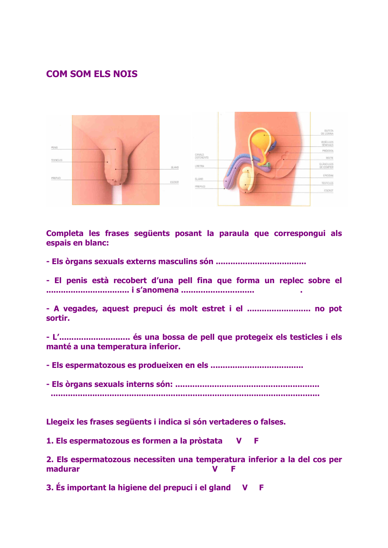#### **COM SOM ELS NOIS**



Completa les frases següents posant la paraula que correspongui als espais en blanc:

- El penis està recobert d'una pell fina que forma un replec sobre el 

- A vegades, aquest prepuci és molt estret i el ........................... no pot sortir.

manté a una temperatura inferior.

Llegeix les frases següents i indica si són vertaderes o falses.

1. Els espermatozous es formen a la pròstata F  $\mathbf v$ 

2. Els espermatozous necessiten una temperatura inferior a la del cos per madurar  $\mathbf{v}$ F

3. És important la higiene del prepuci i el gland V F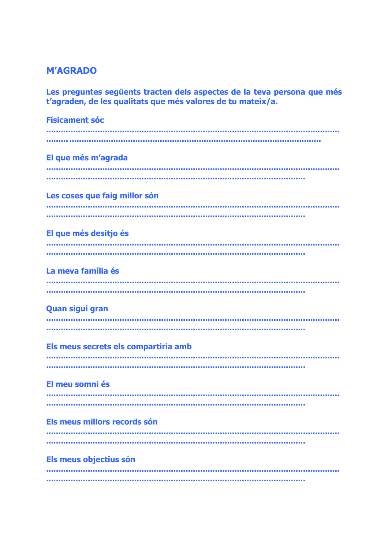#### **M'AGRADO**

Les preguntes següents tracten dels aspectes de la teva persona que més<br>t'agraden, de les qualitats que més valores de tu mateix/a.

| <b>Físicament sóc</b>                |
|--------------------------------------|
|                                      |
|                                      |
| El que més m'agrada                  |
|                                      |
|                                      |
| Les coses que faig millor són        |
|                                      |
|                                      |
| El que més desitjo és                |
|                                      |
|                                      |
| La meva família és                   |
|                                      |
|                                      |
| <b>Quan sigui gran</b>               |
|                                      |
|                                      |
| Els meus secrets els compartiria amb |
|                                      |
|                                      |
| El meu somni és                      |
|                                      |
|                                      |
| Els meus millors records són         |
|                                      |
|                                      |
|                                      |
| Els meus objectius són               |
|                                      |
|                                      |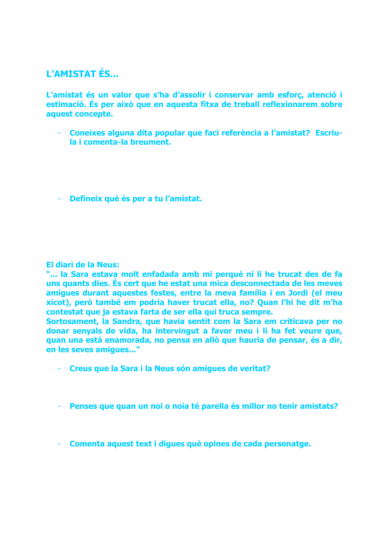#### **L'AMISTAT ÉS...**

L'amistat és un valor que s'ha d'assolir i conservar amb esforç, atenció i estimació. És per això que en aquesta fitxa de treball reflexionarem sobre aquest concepte.

- Coneixes alguna dita popular que faci referència a l'amistat? Escriu- $\omega_{\rm{max}}$ la i comenta-la breument.
- Defineix què és per a tu l'amistat.

#### El diari de la Neus:

"... la Sara estava molt enfadada amb mi perquè ni li he trucat des de fa uns quants dies. És cert que he estat una mica desconnectada de les meves amiques durant aquestes festes, entre la meva família i en Jordi (el meu xicot), però també em podria haver trucat ella, no? Quan l'hi he dit m'ha contestat que ja estava farta de ser ella qui truca sempre.

Sortosament, la Sandra, que havia sentit com la Sara em criticava per no donar senyals de vida, ha intervingut a favor meu i li ha fet veure que, guan una està enamorada, no pensa en allò que hauria de pensar, és a dir, en les seves amigues..."

- Creus que la Sara i la Neus són amiques de veritat?
- Penses que quan un noi o noia té parella és millor no tenir amistats?
- Comenta aquest text i diques què opines de cada personatge.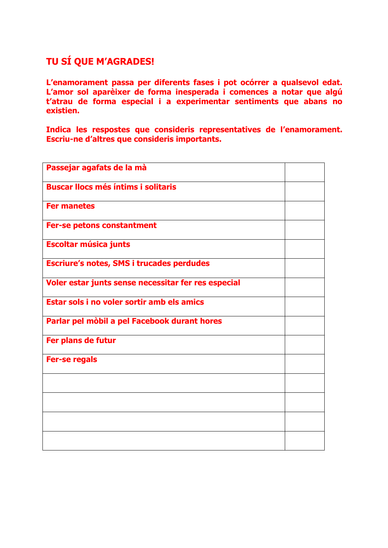## TU SÍ QUE M'AGRADES!

L'enamorament passa per diferents fases i pot ocórrer a qualsevol edat. L'amor sol aparèixer de forma inesperada i comences a notar que algú t'atrau de forma especial i a experimentar sentiments que abans no existien.

Indica les respostes que consideris representatives de l'enamorament. Escriu-ne d'altres que consideris importants.

| Passejar agafats de la mà                           |  |
|-----------------------------------------------------|--|
| <b>Buscar llocs més íntims i solitaris</b>          |  |
| <b>Fer manetes</b>                                  |  |
| Fer-se petons constantment                          |  |
| <b>Escoltar música junts</b>                        |  |
| <b>Escriure's notes, SMS i trucades perdudes</b>    |  |
| Voler estar junts sense necessitar fer res especial |  |
| Estar sols i no voler sortir amb els amics          |  |
| Parlar pel mòbil a pel Facebook durant hores        |  |
| Fer plans de futur                                  |  |
| <b>Fer-se regals</b>                                |  |
|                                                     |  |
|                                                     |  |
|                                                     |  |
|                                                     |  |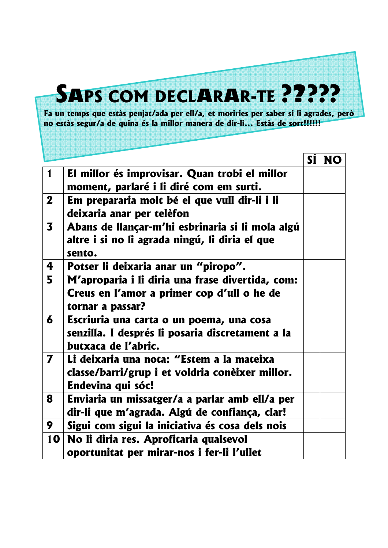# **SAPS COM DECLARAR-TE ?????**

Fa un temps que estàs penjat/ada per ell/a, et moriries per saber si li agrades, però no estàs segur/a de quina és la millor manera de dir-li... Estàs de sort!!!!!!

|                         |                                                                                                                     | SI NO |
|-------------------------|---------------------------------------------------------------------------------------------------------------------|-------|
| $\mathbf 1$             | El millor és improvisar. Quan trobi el millor<br>moment, parlaré i li diré com em surti.                            |       |
| 2 <sup>1</sup>          | Em prepararia molt bé el que vull dir-li i li<br>deixaria anar per telèfon                                          |       |
| $\overline{\mathbf{3}}$ | Abans de llançar-m'hi esbrinaria si li mola algú<br>altre i si no li agrada ningú, li diria el que<br>sento.        |       |
| 4                       | Potser li deixaria anar un "piropo".                                                                                |       |
| 5                       | M'aproparia i li diria una frase divertida, com:<br>Creus en l'amor a primer cop d'ull o he de<br>tornar a passar?  |       |
| 6                       | Escriuria una carta o un poema, una cosa<br>senzilla. I després li posaria discretament a la<br>butxaca de l'abric. |       |
| 7                       | Li deixaria una nota: "Estem a la mateixa<br>classe/barri/grup i et voldria conèixer millor.<br>Endevina qui sóc!   |       |
| 8                       | Enviaria un missatger/a a parlar amb ell/a per<br>dir-li que m'agrada. Algú de confiança, clar!                     |       |
| 9                       | Sigui com sigui la iniciativa és cosa dels nois                                                                     |       |
| 10                      | No li diria res. Aprofitaria qualsevol<br>oportunitat per mirar-nos i fer-li l'ullet                                |       |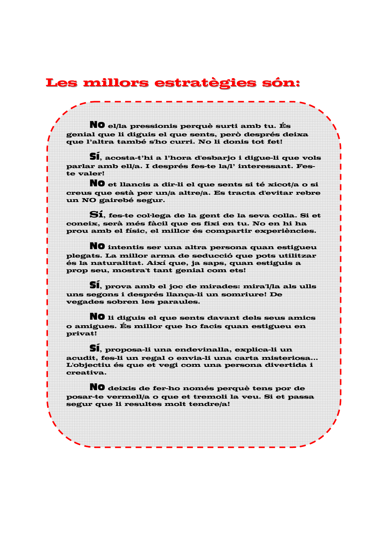## Les millors estratègies són:

NO el/la pressionis perquè surti amb tu. És genial que li diguis el que sents, però després deixa que l'altra també s'ho curri. No li donis tot fet!

**51.** acosta-t'hi a l'hora d'esbarjo i digue-li que vols parlar amb ell/a. I després fes-te la/l' interessant. Feste valer!

NO et llancis a dir-li el que sents si té xicot/a o si creus que està per un/a altre/a. Es tracta d'evitar rebre un NO gairebé segur.

S1, fes-te col·lega de la gent de la seva colla. Si et coneix, serà més fàcil que es fixi en tu. No en hi ha prou amb el físic, el millor és compartir experiències.

NO intentis ser una altra persona quan estigueu plegats. La millor arma de seducció que pots utilitzar és la naturalitat. Així que, ja saps, quan estiguis a prop seu, mostra't tant genial com ets!

**SI**, prova amb el joc de mirades: mira'l/la als ulls uns segons i després llança-li un somriure! De vegades sobren les paraules.

NO li diguis el que sents davant dels seus amics o amigues. És millor que ho facis quan estigueu en privat!

**SI**, proposa-li una endevinalla, explica-li un acudit, fes-li un regal o envia-li una carta misteriosa... L'objectiu és que et vegi com una persona divertida i creativa.

NO deixis de fer-ho només perquè tens por de posar-te vermell/a o que et tremoli la veu. Si et passa segur que li resultes molt tendre/a!